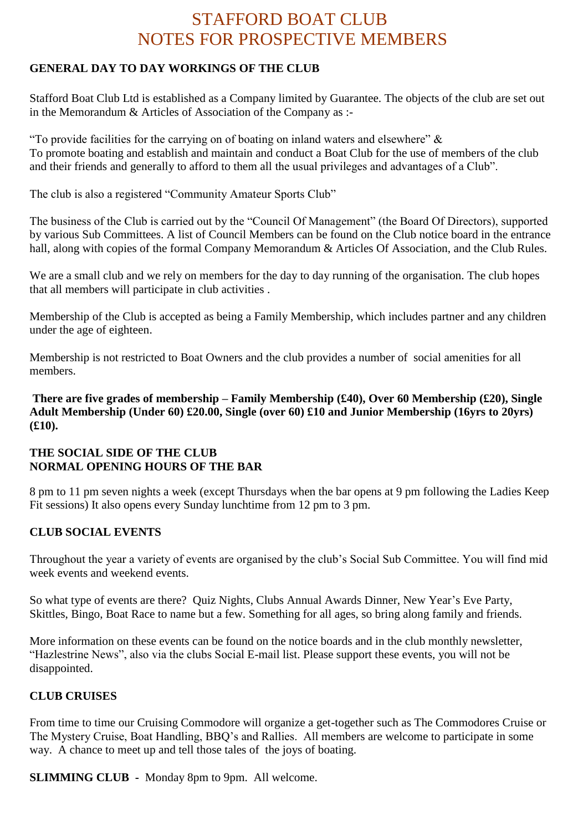# STAFFORD BOAT CLUB NOTES FOR PROSPECTIVE MEMBERS

# **GENERAL DAY TO DAY WORKINGS OF THE CLUB**

Stafford Boat Club Ltd is established as a Company limited by Guarantee. The objects of the club are set out in the Memorandum & Articles of Association of the Company as :-

"To provide facilities for the carrying on of boating on inland waters and elsewhere"  $\&$ To promote boating and establish and maintain and conduct a Boat Club for the use of members of the club and their friends and generally to afford to them all the usual privileges and advantages of a Club".

The club is also a registered "Community Amateur Sports Club"

The business of the Club is carried out by the "Council Of Management" (the Board Of Directors), supported by various Sub Committees. A list of Council Members can be found on the Club notice board in the entrance hall, along with copies of the formal Company Memorandum & Articles Of Association, and the Club Rules.

We are a small club and we rely on members for the day to day running of the organisation. The club hopes that all members will participate in club activities .

Membership of the Club is accepted as being a Family Membership, which includes partner and any children under the age of eighteen.

Membership is not restricted to Boat Owners and the club provides a number of social amenities for all members.

**There are five grades of membership – Family Membership (£40), Over 60 Membership (£20), Single Adult Membership (Under 60) £20.00, Single (over 60) £10 and Junior Membership (16yrs to 20yrs) (£10).**

## **THE SOCIAL SIDE OF THE CLUB NORMAL OPENING HOURS OF THE BAR**

8 pm to 11 pm seven nights a week (except Thursdays when the bar opens at 9 pm following the Ladies Keep Fit sessions) It also opens every Sunday lunchtime from 12 pm to 3 pm.

# **CLUB SOCIAL EVENTS**

Throughout the year a variety of events are organised by the club's Social Sub Committee. You will find mid week events and weekend events.

So what type of events are there? Quiz Nights, Clubs Annual Awards Dinner, New Year's Eve Party, Skittles, Bingo, Boat Race to name but a few. Something for all ages, so bring along family and friends.

More information on these events can be found on the notice boards and in the club monthly newsletter, "Hazlestrine News", also via the clubs Social E-mail list. Please support these events, you will not be disappointed.

# **CLUB CRUISES**

From time to time our Cruising Commodore will organize a get-together such as The Commodores Cruise or The Mystery Cruise, Boat Handling, BBQ's and Rallies. All members are welcome to participate in some way. A chance to meet up and tell those tales of the joys of boating.

**SLIMMING CLUB -** Monday 8pm to 9pm. All welcome.